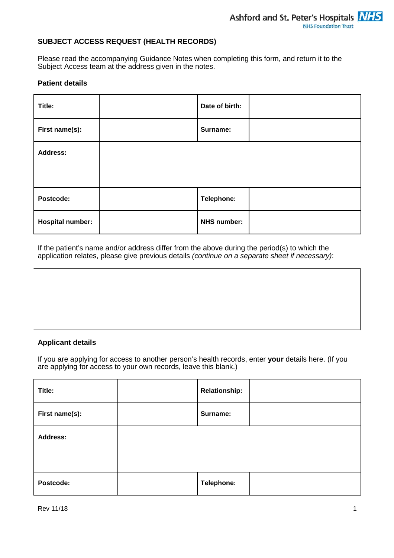# **SUBJECT ACCESS REQUEST (HEALTH RECORDS)**

Please read the accompanying Guidance Notes when completing this form, and return it to the Subject Access team at the address given in the notes.

### **Patient details**

| Title:                  | Date of birth:     |  |
|-------------------------|--------------------|--|
| First name(s):          | Surname:           |  |
| <b>Address:</b>         |                    |  |
|                         |                    |  |
| Postcode:               | Telephone:         |  |
| <b>Hospital number:</b> | <b>NHS number:</b> |  |

If the patient's name and/or address differ from the above during the period(s) to which the application relates, please give previous details (continue on a separate sheet if necessary):

# **Applicant details**

If you are applying for access to another person's health records, enter **your** details here. (If you are applying for access to your own records, leave this blank.)

| Title:          | <b>Relationship:</b> |  |
|-----------------|----------------------|--|
| First name(s):  | Surname:             |  |
| <b>Address:</b> |                      |  |
| Postcode:       | Telephone:           |  |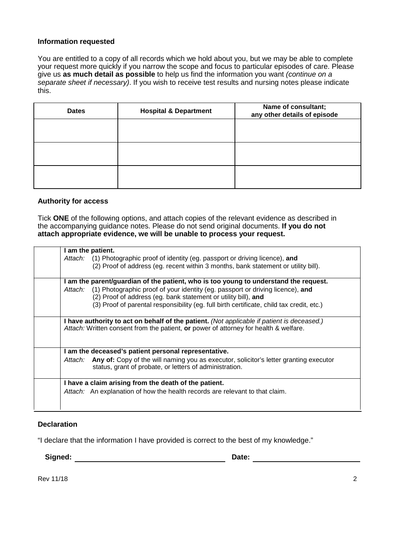### **Information requested**

You are entitled to a copy of all records which we hold about you, but we may be able to complete your request more quickly if you narrow the scope and focus to particular episodes of care. Please give us **as much detail as possible** to help us find the information you want (continue on a separate sheet if necessary). If you wish to receive test results and nursing notes please indicate this.

| <b>Dates</b> | <b>Hospital &amp; Department</b> | Name of consultant;<br>any other details of episode |
|--------------|----------------------------------|-----------------------------------------------------|
|              |                                  |                                                     |
|              |                                  |                                                     |
|              |                                  |                                                     |
|              |                                  |                                                     |
|              |                                  |                                                     |

#### **Authority for access**

Tick **ONE** of the following options, and attach copies of the relevant evidence as described in the accompanying guidance notes. Please do not send original documents. **If you do not attach appropriate evidence, we will be unable to process your request.**

| I am the patient.                                                                                                                                                                  |
|------------------------------------------------------------------------------------------------------------------------------------------------------------------------------------|
| Attach: (1) Photographic proof of identity (eg. passport or driving licence), and                                                                                                  |
| (2) Proof of address (eg. recent within 3 months, bank statement or utility bill).                                                                                                 |
| am the parent/guardian of the patient, who is too young to understand the request.                                                                                                 |
| Attach: (1) Photographic proof of your identity (eg. passport or driving licence), and                                                                                             |
| (2) Proof of address (eg. bank statement or utility bill), and                                                                                                                     |
| (3) Proof of parental responsibility (eg. full birth certificate, child tax credit, etc.)                                                                                          |
| I have authority to act on behalf of the patient. (Not applicable if patient is deceased.)<br>Attach: Written consent from the patient, or power of attorney for health & welfare. |
| I am the deceased's patient personal representative.                                                                                                                               |
| Attach: Any of: Copy of the will naming you as executor, solicitor's letter granting executor<br>status, grant of probate, or letters of administration.                           |
| I have a claim arising from the death of the patient.                                                                                                                              |
| Attach: An explanation of how the health records are relevant to that claim.                                                                                                       |
|                                                                                                                                                                                    |

#### **Declaration**

"I declare that the information I have provided is correct to the best of my knowledge."

**Signed:** 2008. 2009. 2010. 2010. 2010. 2010. 2010. 2010. 2010. 2010. 2010. 2010. 2010. 2010. 2010. 2010. 2010. 2010. 2010. 2010. 2010. 2010. 2010. 2010. 2010. 2010. 2010. 2010. 2010. 2010. 2010. 2010. 2010. 2010. 2010. 20

Rev 11/18 2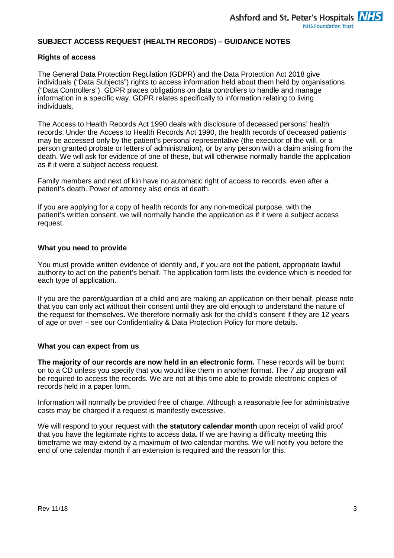# **SUBJECT ACCESS REQUEST (HEALTH RECORDS) – GUIDANCE NOTES**

### **Rights of access**

The General Data Protection Regulation (GDPR) and the Data Protection Act 2018 give individuals ("Data Subjects") rights to access information held about them held by organisations ("Data Controllers"). GDPR places obligations on data controllers to handle and manage information in a specific way. GDPR relates specifically to information relating to living individuals.

The Access to Health Records Act 1990 deals with disclosure of deceased persons' health records. Under the Access to Health Records Act 1990, the health records of deceased patients may be accessed only by the patient's personal representative (the executor of the will, or a person granted probate or letters of administration), or by any person with a claim arising from the death. We will ask for evidence of one of these, but will otherwise normally handle the application as if it were a subject access request.

Family members and next of kin have no automatic right of access to records, even after a patient's death. Power of attorney also ends at death.

If you are applying for a copy of health records for any non-medical purpose, with the patient's written consent, we will normally handle the application as if it were a subject access request.

### **What you need to provide**

You must provide written evidence of identity and, if you are not the patient, appropriate lawful authority to act on the patient's behalf. The application form lists the evidence which is needed for each type of application.

If you are the parent/guardian of a child and are making an application on their behalf, please note that you can only act without their consent until they are old enough to understand the nature of the request for themselves. We therefore normally ask for the child's consent if they are 12 years of age or over – see our Confidentiality & Data Protection Policy for more details.

# **What you can expect from us**

**The majority of our records are now held in an electronic form.** These records will be burnt on to a CD unless you specify that you would like them in another format. The 7 zip program will be required to access the records. We are not at this time able to provide electronic copies of records held in a paper form.

Information will normally be provided free of charge. Although a reasonable fee for administrative costs may be charged if a request is manifestly excessive.

We will respond to your request with **the statutory calendar month** upon receipt of valid proof that you have the legitimate rights to access data. If we are having a difficulty meeting this timeframe we may extend by a maximum of two calendar months. We will notify you before the end of one calendar month if an extension is required and the reason for this.